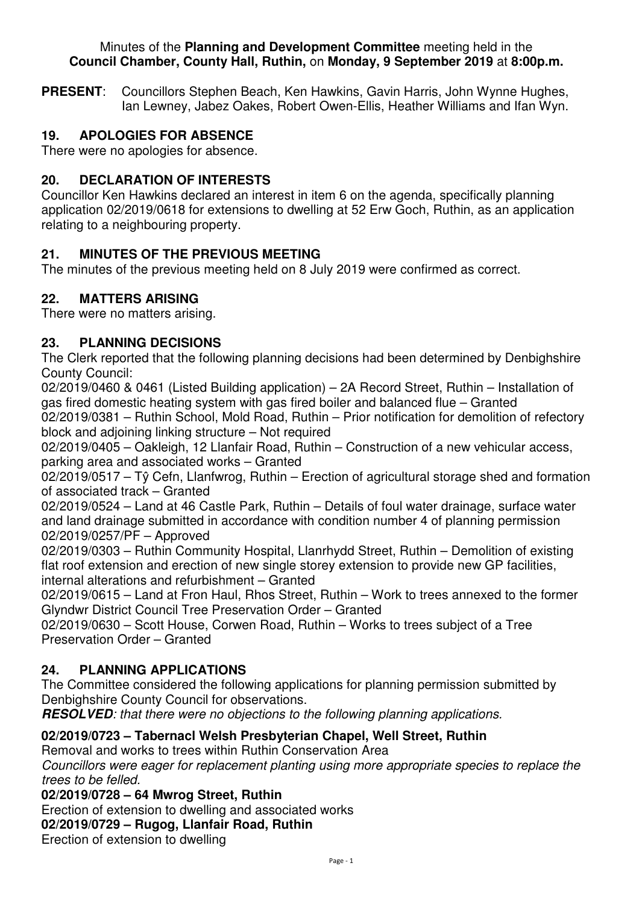#### Minutes of the **Planning and Development Committee** meeting held in the **Council Chamber, County Hall, Ruthin,** on **Monday, 9 September 2019** at **8:00p.m.**

**PRESENT**: Councillors Stephen Beach, Ken Hawkins, Gavin Harris, John Wynne Hughes, Ian Lewney, Jabez Oakes, Robert Owen-Ellis, Heather Williams and Ifan Wyn.

## **19. APOLOGIES FOR ABSENCE**

There were no apologies for absence.

#### **20. DECLARATION OF INTERESTS**

Councillor Ken Hawkins declared an interest in item 6 on the agenda, specifically planning application 02/2019/0618 for extensions to dwelling at 52 Erw Goch, Ruthin, as an application relating to a neighbouring property.

#### **21. MINUTES OF THE PREVIOUS MEETING**

The minutes of the previous meeting held on 8 July 2019 were confirmed as correct.

#### **22. MATTERS ARISING**

There were no matters arising.

## **23. PLANNING DECISIONS**

The Clerk reported that the following planning decisions had been determined by Denbighshire County Council:

02/2019/0460 & 0461 (Listed Building application) – 2A Record Street, Ruthin – Installation of gas fired domestic heating system with gas fired boiler and balanced flue – Granted 02/2019/0381 – Ruthin School, Mold Road, Ruthin – Prior notification for demolition of refectory block and adjoining linking structure – Not required

02/2019/0405 – Oakleigh, 12 Llanfair Road, Ruthin – Construction of a new vehicular access, parking area and associated works – Granted

02/2019/0517 – Tŷ Cefn, Llanfwrog, Ruthin – Erection of agricultural storage shed and formation of associated track – Granted

02/2019/0524 – Land at 46 Castle Park, Ruthin – Details of foul water drainage, surface water and land drainage submitted in accordance with condition number 4 of planning permission 02/2019/0257/PF – Approved

02/2019/0303 – Ruthin Community Hospital, Llanrhydd Street, Ruthin – Demolition of existing flat roof extension and erection of new single storey extension to provide new GP facilities, internal alterations and refurbishment – Granted

02/2019/0615 – Land at Fron Haul, Rhos Street, Ruthin – Work to trees annexed to the former Glyndwr District Council Tree Preservation Order – Granted

02/2019/0630 – Scott House, Corwen Road, Ruthin – Works to trees subject of a Tree Preservation Order – Granted

#### **24. PLANNING APPLICATIONS**

The Committee considered the following applications for planning permission submitted by Denbighshire County Council for observations.

**RESOLVED***: that there were no objections to the following planning applications.* 

# **02/2019/0723 – Tabernacl Welsh Presbyterian Chapel, Well Street, Ruthin**

Removal and works to trees within Ruthin Conservation Area

*Councillors were eager for replacement planting using more appropriate species to replace the trees to be felled.*

**02/2019/0728 – 64 Mwrog Street, Ruthin** 

Erection of extension to dwelling and associated works

**02/2019/0729 – Rugog, Llanfair Road, Ruthin** 

Erection of extension to dwelling